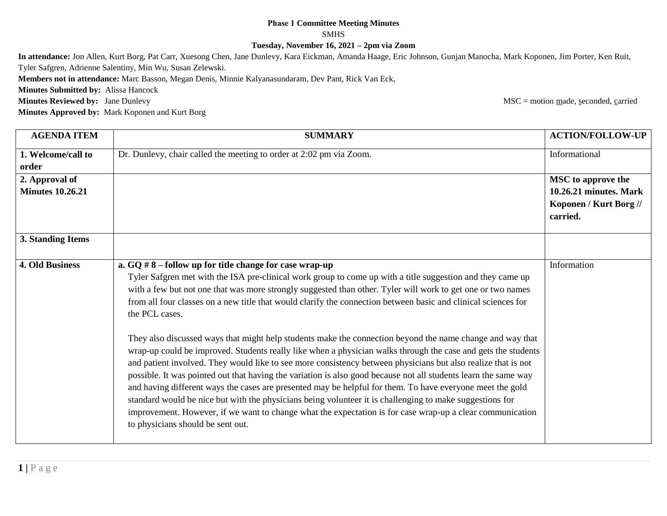## **Phase 1 Committee Meeting Minutes**

SMHS

**Tuesday, November 16, 2021 – 2pm via Zoom**

**In attendance:** Jon Allen, Kurt Borg, Pat Carr, Xuesong Chen, Jane Dunlevy, Kara Eickman, Amanda Haage, Eric Johnson, Gunjan Manocha, Mark Koponen, Jim Porter, Ken Ruit, Tyler Safgren, Adrienne Salentiny, Min Wu, Susan Zelewski.

**Members not in attendance:** Marc Basson, Megan Denis, Minnie Kalyanasundaram, Dev Pant, Rick Van Eck,

**Minutes Submitted by:** Alissa Hancock

**Minutes Reviewed by:** Jane Dunlevy **MSC** = motion made, seconded, carried

**Minutes Approved by:** Mark Koponen and Kurt Borg

**AGENDA ITEM SUMMARY ACTION/FOLLOW-UP 1. Welcome/call to order** Dr. Dunlevy, chair called the meeting to order at 2:02 pm via Zoom. Informational **2. Approval of Minutes 10.26.21 MSC to approve the 10.26.21 minutes. Mark Koponen / Kurt Borg // carried. 3. Standing Items 4. Old Business a. GQ # 8 – follow up for title change for case wrap-up** Tyler Safgren met with the ISA pre-clinical work group to come up with a title suggestion and they came up with a few but not one that was more strongly suggested than other. Tyler will work to get one or two names from all four classes on a new title that would clarify the connection between basic and clinical sciences for the PCL cases. They also discussed ways that might help students make the connection beyond the name change and way that wrap-up could be improved. Students really like when a physician walks through the case and gets the students and patient involved. They would like to see more consistency between physicians but also realize that is not possible. It was pointed out that having the variation is also good because not all students learn the same way and having different ways the cases are presented may be helpful for them. To have everyone meet the gold standard would be nice but with the physicians being volunteer it is challenging to make suggestions for improvement. However, if we want to change what the expectation is for case wrap-up a clear communication to physicians should be sent out. Information